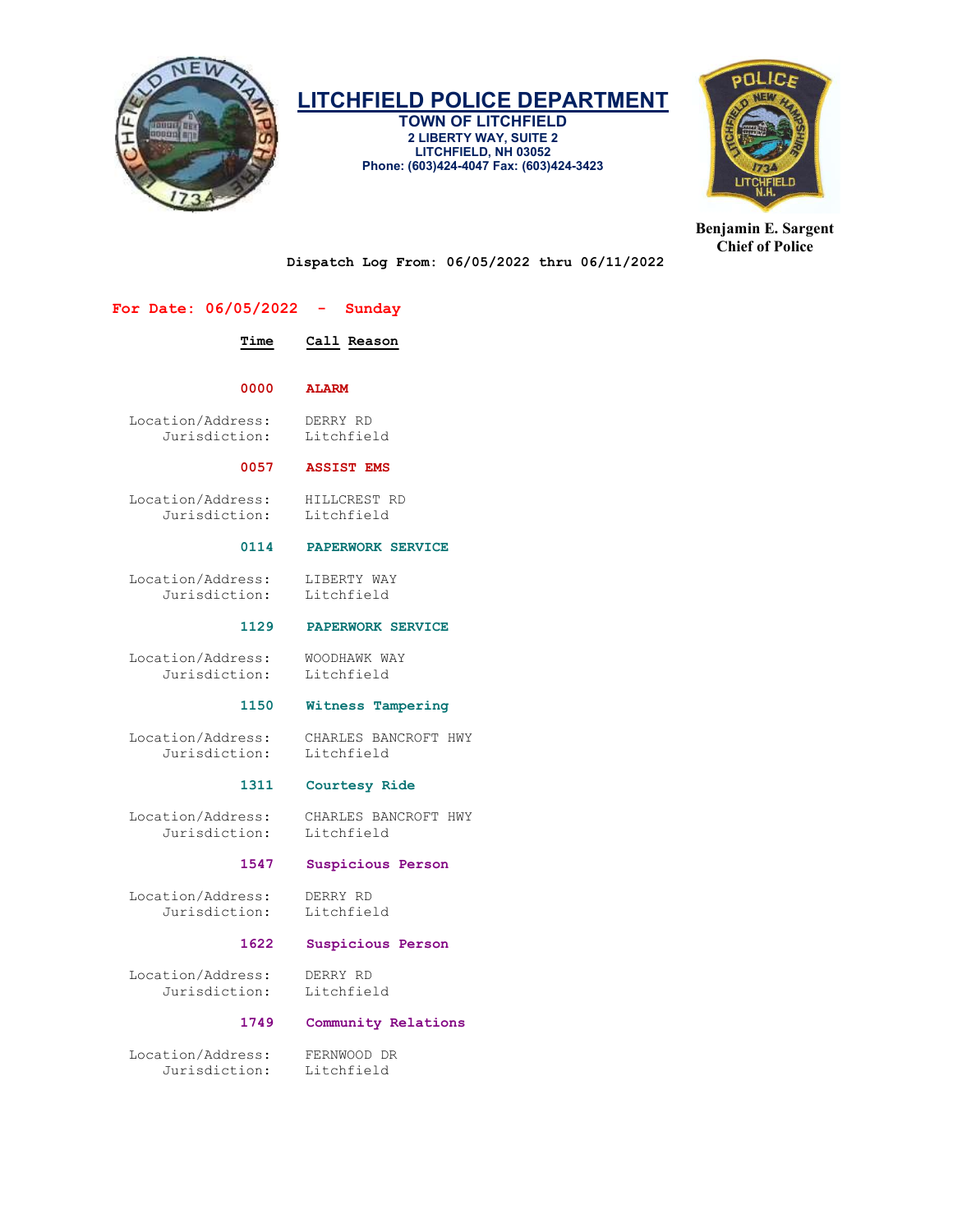

TOWN OF LITCHFIELD 2 LIBERTY WAY, SUITE 2 LITCHFIELD, NH 03052 Phone: (603)424-4047 Fax: (603)424-3423



Benjamin E. Sargent Chief of Police

Dispatch Log From: 06/05/2022 thru 06/11/2022

# For Date: 06/05/2022 - Sunday

# Time Call Reason

0000 ALARM

 Location/Address: DERRY RD Jurisdiction:

#### 0057 ASSIST EMS

 Location/Address: HILLCREST RD Jurisdiction: Litchfield

#### 0114 PAPERWORK SERVICE

 Location/Address: LIBERTY WAY Jurisdiction: Litchfield

#### 1129 PAPERWORK SERVICE

Location/Address: WOODHAWK WAY<br>Jurisdiction: Litchfield Jurisdiction:

#### 1150 Witness Tampering

Location/Address: CHARLES BANCROFT HWY<br>Jurisdiction: Litchfield Jurisdiction:

# 1311 Courtesy Ride

 Location/Address: CHARLES BANCROFT HWY Jurisdiction:

#### 1547 Suspicious Person

 Location/Address: DERRY RD Jurisdiction:

#### 1622 Suspicious Person

 Location/Address: DERRY RD Jurisdiction:

#### 1749 Community Relations

 Location/Address: FERNWOOD DR Jurisdiction: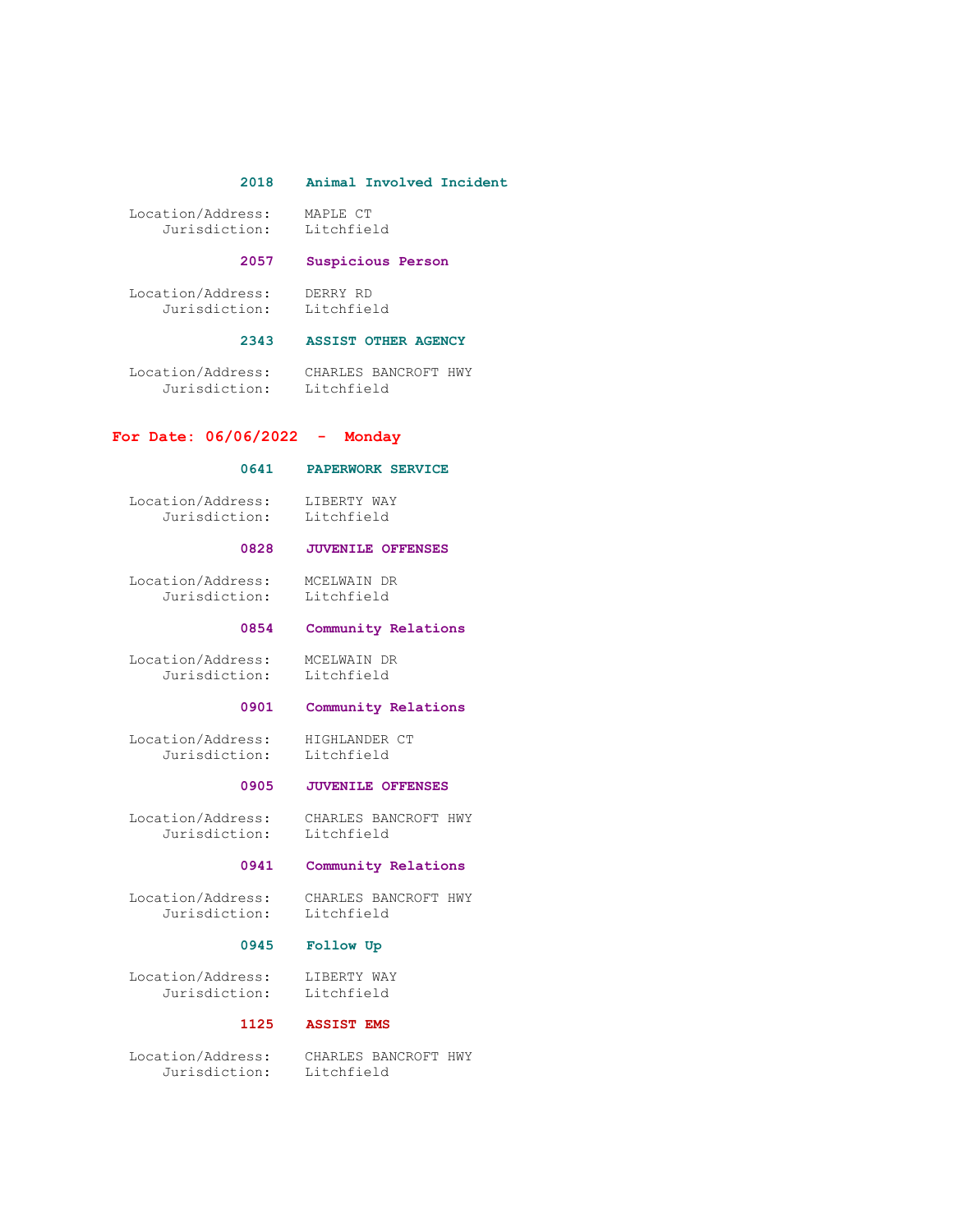#### 2018 Animal Involved Incident

 Location/Address: MAPLE CT Jurisdiction:

# 2057 Suspicious Person

 Location/Address: DERRY RD Jurisdiction: Litchfield

# 2343 ASSIST OTHER AGENCY

 Location/Address: CHARLES BANCROFT HWY Jurisdiction: Litchfield

# For Date: 06/06/2022 - Monday

# 0641 PAPERWORK SERVICE

 Location/Address: LIBERTY WAY Jurisdiction: Litchfield

# 0828 JUVENILE OFFENSES

 Location/Address: MCELWAIN DR Jurisdiction: Litchfield

#### 0854 Community Relations

 Location/Address: MCELWAIN DR Jurisdiction: Litchfield

# 0901 Community Relations

Location/Address: HIGHLANDER CT<br>Jurisdiction: Litchfield Jurisdiction:

### 0905 JUVENILE OFFENSES

 Location/Address: CHARLES BANCROFT HWY Jurisdiction: Litchfield

#### 0941 Community Relations

 Location/Address: CHARLES BANCROFT HWY Jurisdiction: Litchfield

# 0945 Follow Up

Location/Address: LIBERTY WAY<br>Jurisdiction: Litchfield Jurisdiction:

# 1125 ASSIST EMS

 Location/Address: CHARLES BANCROFT HWY Jurisdiction: Litchfield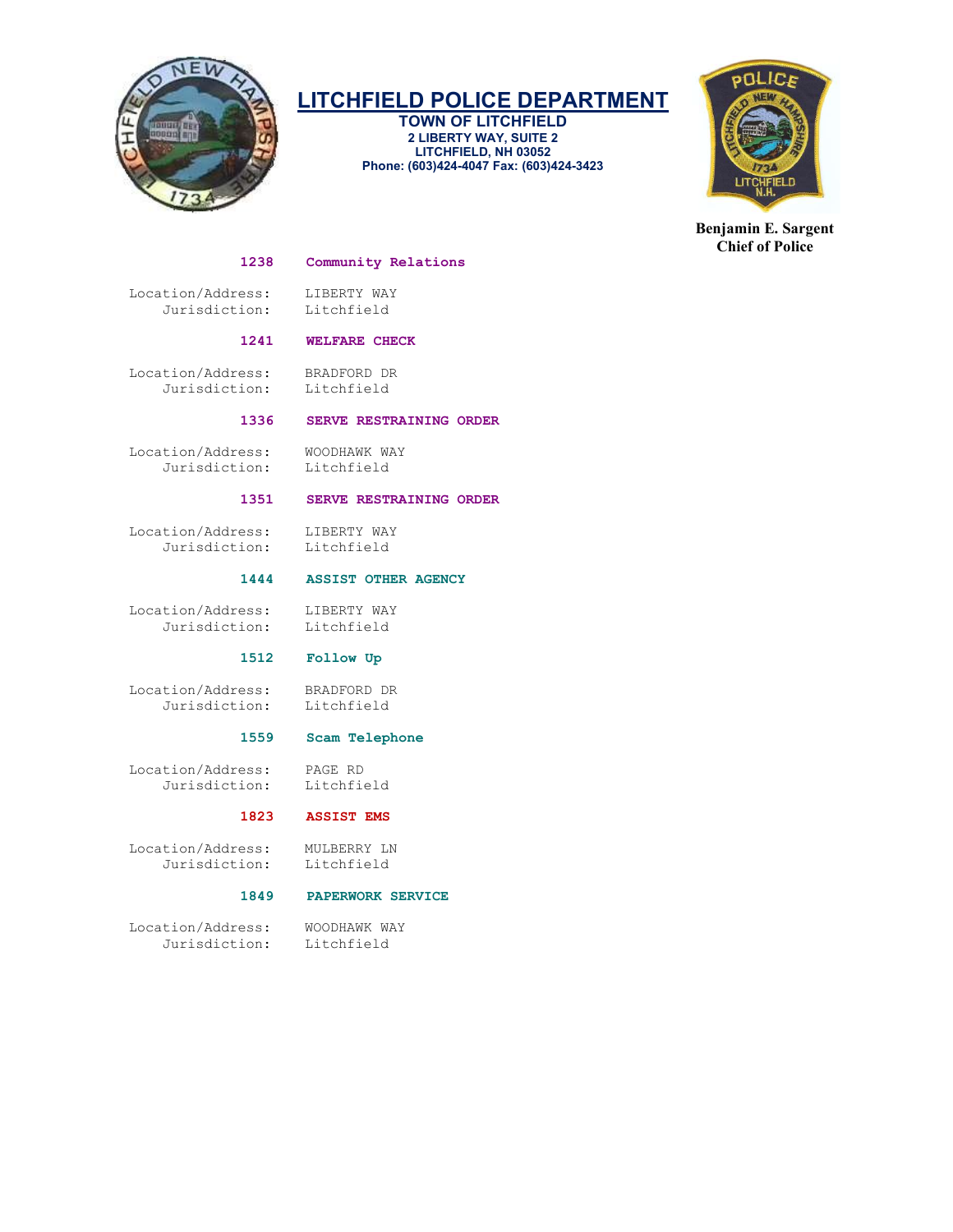

TOWN OF LITCHFIELD 2 LIBERTY WAY, SUITE 2 LITCHFIELD, NH 03052 Phone: (603)424-4047 Fax: (603)424-3423



Benjamin E. Sargent Chief of Police

#### 1238 Community Relations

Location/Address: LIBERTY WAY<br>Jurisdiction: Litchfield Jurisdiction:

# 1241 WELFARE CHECK

 Location/Address: BRADFORD DR Jurisdiction: Litchfield

# 1336 SERVE RESTRAINING ORDER

 Location/Address: WOODHAWK WAY Jurisdiction: Litchfield

# 1351 SERVE RESTRAINING ORDER

Location/Address: LIBERTY WAY<br>Jurisdiction: Litchfield Jurisdiction:

#### 1444 ASSIST OTHER AGENCY

Location/Address: LIBERTY WAY<br>Jurisdiction: Litchfield Jurisdiction:

# 1512 Follow Up

 Location/Address: BRADFORD DR Jurisdiction: Litchfield

# 1559 Scam Telephone

 Location/Address: PAGE RD Jurisdiction:

#### 1823 ASSIST EMS

Location/Address: MULBERRY LN<br>Jurisdiction: Litchfield Jurisdiction:

# 1849 PAPERWORK SERVICE

 Location/Address: WOODHAWK WAY Jurisdiction: Litchfield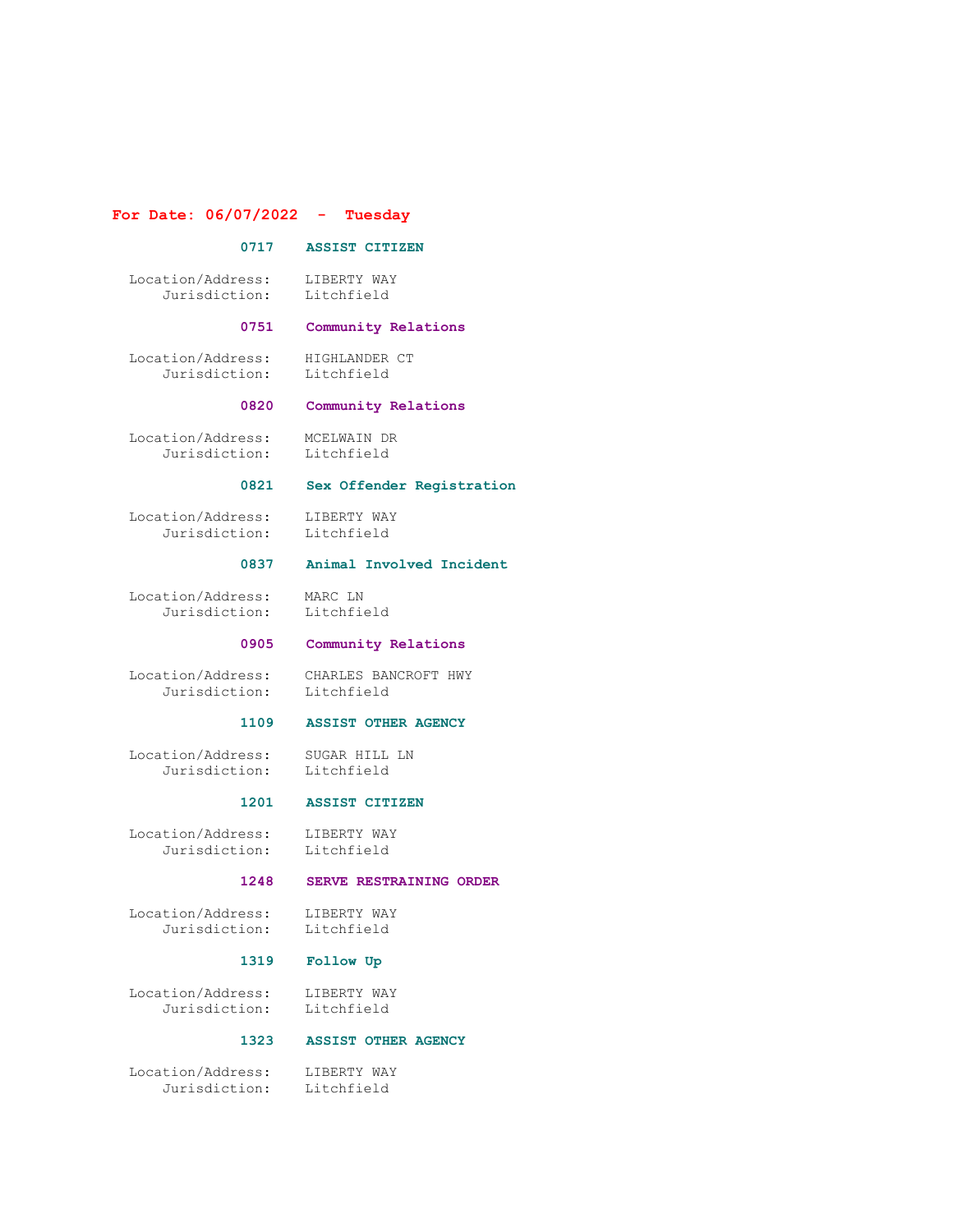# For Date: 06/07/2022 - Tuesday

# 0717 ASSIST CITIZEN

 Location/Address: LIBERTY WAY Jurisdiction: Litchfield

# 0751 Community Relations

 Location/Address: HIGHLANDER CT Jurisdiction: Litchfield

#### 0820 Community Relations

 Location/Address: MCELWAIN DR Jurisdiction: Litchfield

# 0821 Sex Offender Registration

Location/Address: LIBERTY WAY<br>Jurisdiction: Litchfield Jurisdiction:

# 0837 Animal Involved Incident

 Location/Address: MARC LN Jurisdiction: Litchfield

#### 0905 Community Relations

 Location/Address: CHARLES BANCROFT HWY Jurisdiction:

### 1109 ASSIST OTHER AGENCY

 Location/Address: SUGAR HILL LN Jurisdiction: Litchfield

#### 1201 ASSIST CITIZEN

 Location/Address: LIBERTY WAY Jurisdiction: Litchfield

### 1248 SERVE RESTRAINING ORDER

Location/Address: LIBERTY WAY<br>Jurisdiction: Litchfield Jurisdiction:

#### 1319 Follow Up

Location/Address: LIBERTY WAY<br>Jurisdiction: Litchfield Jurisdiction:

#### 1323 ASSIST OTHER AGENCY

 Location/Address: LIBERTY WAY Jurisdiction: Litchfield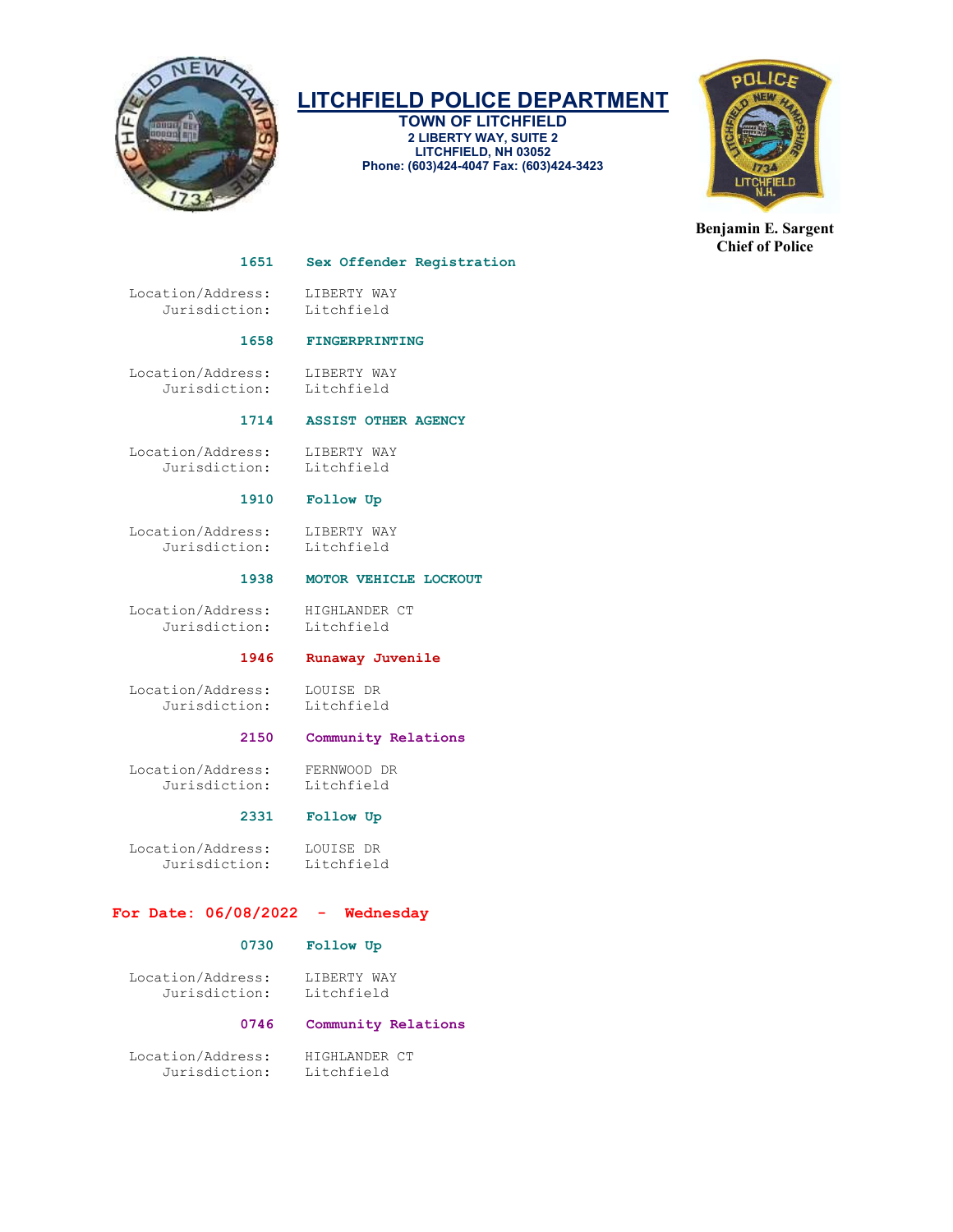

TOWN OF LITCHFIELD 2 LIBERTY WAY, SUITE 2 LITCHFIELD, NH 03052 Phone: (603)424-4047 Fax: (603)424-3423



Benjamin E. Sargent Chief of Police

#### 1651 Sex Offender Registration

Location/Address: LIBERTY WAY<br>Jurisdiction: Litchfield Jurisdiction:

# 1658 FINGERPRINTING

 Location/Address: LIBERTY WAY Jurisdiction: Litchfield

# 1714 ASSIST OTHER AGENCY

 Location/Address: LIBERTY WAY Jurisdiction: Litchfield

# 1910 Follow Up

Location/Address: LIBERTY WAY<br>Jurisdiction: Litchfield Jurisdiction:

#### 1938 MOTOR VEHICLE LOCKOUT

Location/Address: HIGHLANDER CT<br>Jurisdiction: Litchfield Jurisdiction:

# 1946 Runaway Juvenile

 Location/Address: LOUISE DR Jurisdiction: Litchfield

# 2150 Community Relations

 Location/Address: FERNWOOD DR Jurisdiction:

# 2331 Follow Up

 Location/Address: LOUISE DR Jurisdiction:

# For Date: 06/08/2022 - Wednesday

# 0730 Follow Up

Location/Address: LIBERTY WAY<br>Jurisdiction: Litchfield Jurisdiction:

# 0746 Community Relations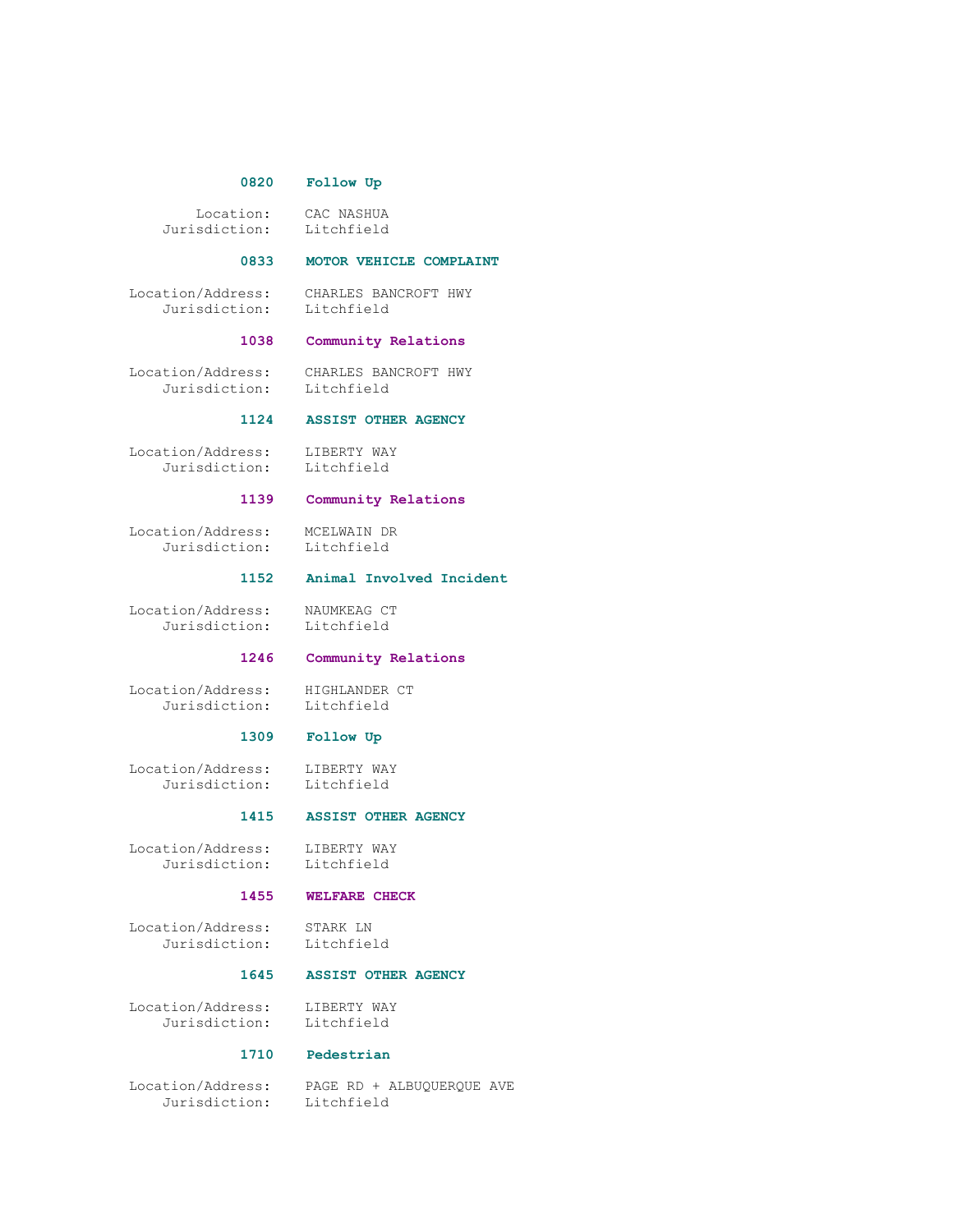#### 0820 Follow Up

Location: CAC NASHUA<br>sdiction: Litchfield Jurisdiction:

#### 0833 MOTOR VEHICLE COMPLAINT

 Location/Address: CHARLES BANCROFT HWY Jurisdiction: Litchfield

# 1038 Community Relations

Jurisdiction: Litchfield

Location/Address: CHARLES BANCROFT HWY

# 1124 ASSIST OTHER AGENCY

 Location/Address: LIBERTY WAY Jurisdiction: Litchfield

# 1139 Community Relations

 Location/Address: MCELWAIN DR Jurisdiction:

#### 1152 Animal Involved Incident

 Location/Address: NAUMKEAG CT Jurisdiction: Litchfield

# 1246 Community Relations

Location/Address: HIGHLANDER CT<br>Jurisdiction: Litchfield

Hignun...<br>Litchfield

# 1309 Follow Up

 Location/Address: LIBERTY WAY Jurisdiction: Litchfield

#### 1415 ASSIST OTHER AGENCY

Location/Address: LIBERTY WAY<br>Jurisdiction: Litchfield Jurisdiction:

#### 1455 WELFARE CHECK

 Location/Address: STARK LN Jurisdiction:

# 1645 ASSIST OTHER AGENCY

 Location/Address: LIBERTY WAY Jurisdiction: Litchfield

#### 1710 Pedestrian

Jurisdiction: Litchfield

Location/Address: PAGE RD + ALBUQUERQUE AVE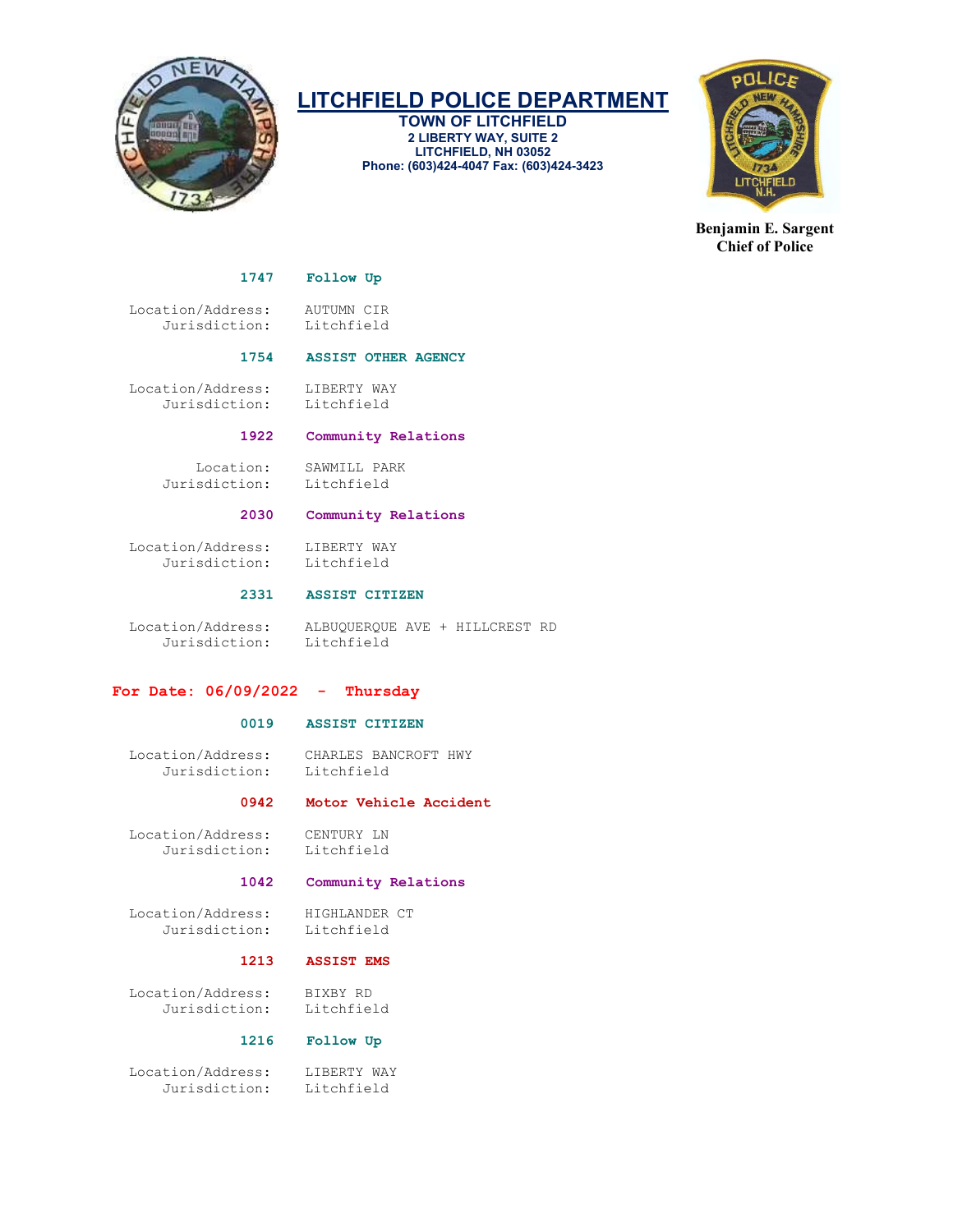

TOWN OF LITCHFIELD 2 LIBERTY WAY, SUITE 2 LITCHFIELD, NH 03052 Phone: (603)424-4047 Fax: (603)424-3423



Benjamin E. Sargent Chief of Police

1747 Follow Up

 Location/Address: AUTUMN CIR Jurisdiction:

# 1754 ASSIST OTHER AGENCY

Location/Address: LIBERTY WAY<br>Jurisdiction: Litchfield Jurisdiction:

# 1922 Community Relations

Jurisdiction: Litchfield

Location: SAWMILL PARK

# 2030 Community Relations

Location/Address: LIBERTY WAY<br>Jurisdiction: Litchfield Jurisdiction:

#### 2331 ASSIST CITIZEN

 Location/Address: ALBUQUERQUE AVE + HILLCREST RD Jurisdiction:

#### For Date:  $06/09/2022 -$  Thursday

# 0019 ASSIST CITIZEN

 Location/Address: CHARLES BANCROFT HWY Jurisdiction:

# 0942 Motor Vehicle Accident

Location/Address: CENTURY LN<br>Jurisdiction: Litchfield Jurisdiction:

#### 1042 Community Relations

Location/Address: HIGHLANDER CT<br>Jurisdiction: Litchfield Jurisdiction:

#### 1213 ASSIST EMS

 Location/Address: BIXBY RD Jurisdiction:

### 1216 Follow Up

Location/Address: LIBERTY WAY<br>Jurisdiction: Litchfield Jurisdiction: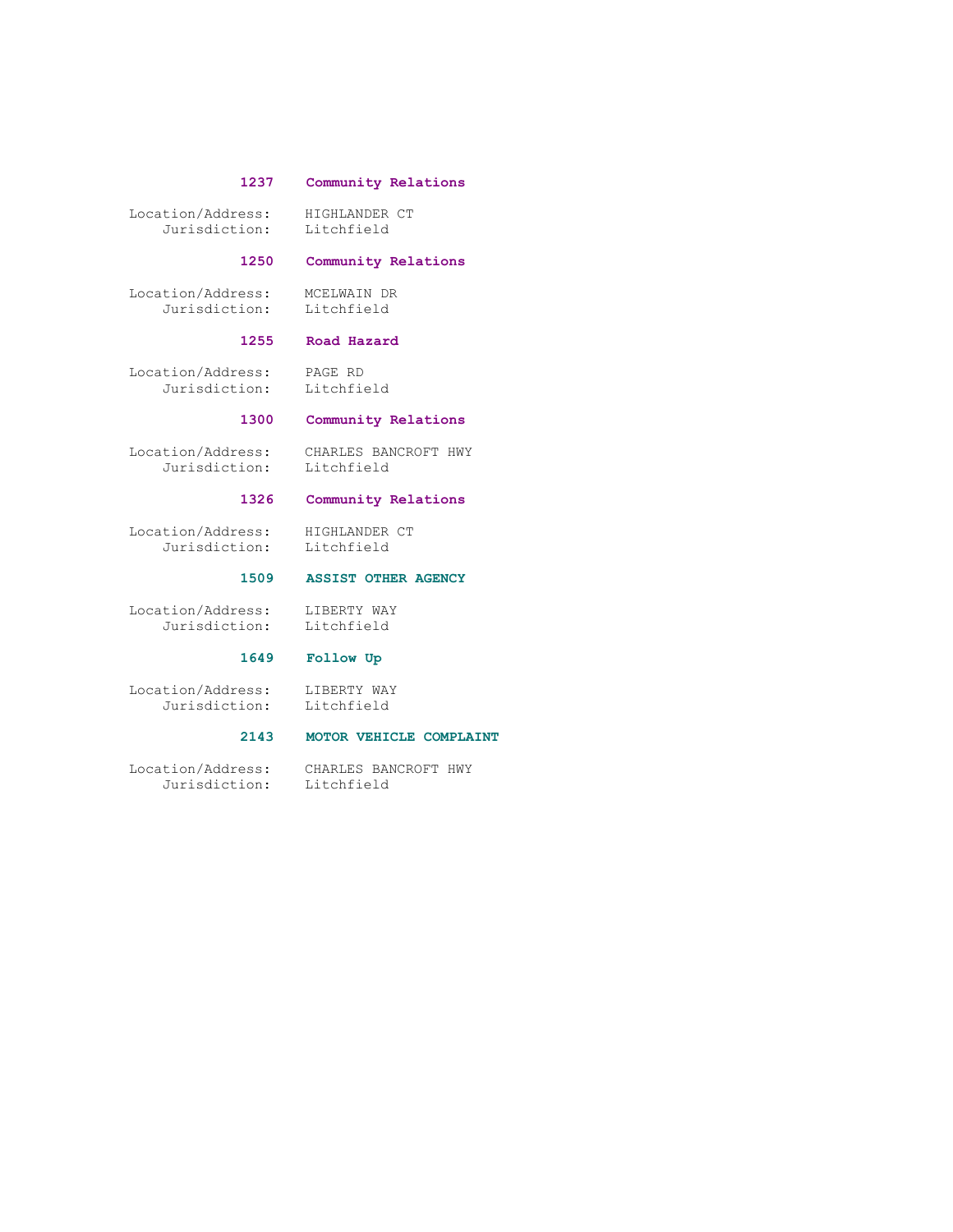#### 1237 Community Relations

 Location/Address: HIGHLANDER CT Jurisdiction: Litchfield

# 1250 Community Relations

 Location/Address: MCELWAIN DR Jurisdiction: Litchfield

#### 1255 Road Hazard

 Location/Address: PAGE RD Jurisdiction: Litchfield

# 1300 Community Relations

Jurisdiction:

Location/Address: CHARLES BANCROFT HWY<br>Jurisdiction: Litchfield

# 1326 Community Relations

 Location/Address: HIGHLANDER CT Jurisdiction: Litchfield

# 1509 ASSIST OTHER AGENCY

 Location/Address: LIBERTY WAY Jurisdiction: Litchfield

# 1649 Follow Up

 Location/Address: LIBERTY WAY Jurisdiction: Litchfield

# 2143 MOTOR VEHICLE COMPLAINT

 Location/Address: CHARLES BANCROFT HWY Jurisdiction: Litchfield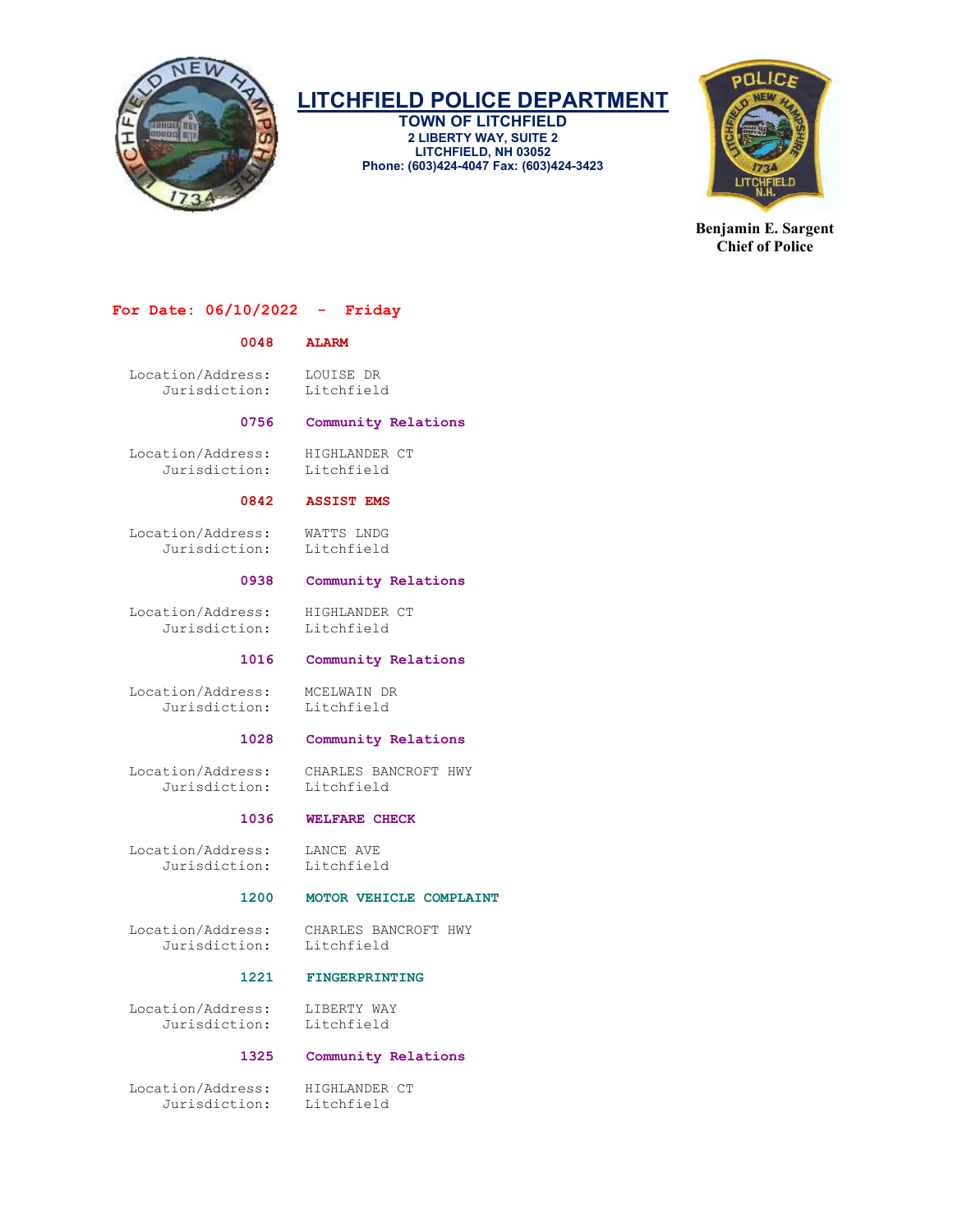

TOWN OF LITCHFIELD 2 LIBERTY WAY, SUITE 2 LITCHFIELD, NH 03052 Phone: (603)424-4047 Fax: (603)424-3423



Benjamin E. Sargent Chief of Police

# For Date: 06/10/2022 - Friday

### 0048 ALARM

 Location/Address: LOUISE DR Jurisdiction: Litchfield

#### 0756 Community Relations

Location/Address: HIGHLANDER CT<br>Jurisdiction: Litchfield Jurisdiction:

#### 0842 ASSIST EMS

 Location/Address: WATTS LNDG Jurisdiction:

### 0938 Community Relations

 Location/Address: HIGHLANDER CT Jurisdiction: Litchfield

#### 1016 Community Relations

 Location/Address: MCELWAIN DR Jurisdiction:

#### 1028 Community Relations

 Location/Address: CHARLES BANCROFT HWY Jurisdiction:

# 1036 WELFARE CHECK

 Location/Address: LANCE AVE Jurisdiction: Litchfield

# 1200 MOTOR VEHICLE COMPLAINT

Jurisdiction:

Location/Address: CHARLES BANCROFT HWY

### 1221 FINGERPRINTING

Location/Address: LIBERTY WAY<br>Jurisdiction: Litchfield Jurisdiction:

### 1325 Community Relations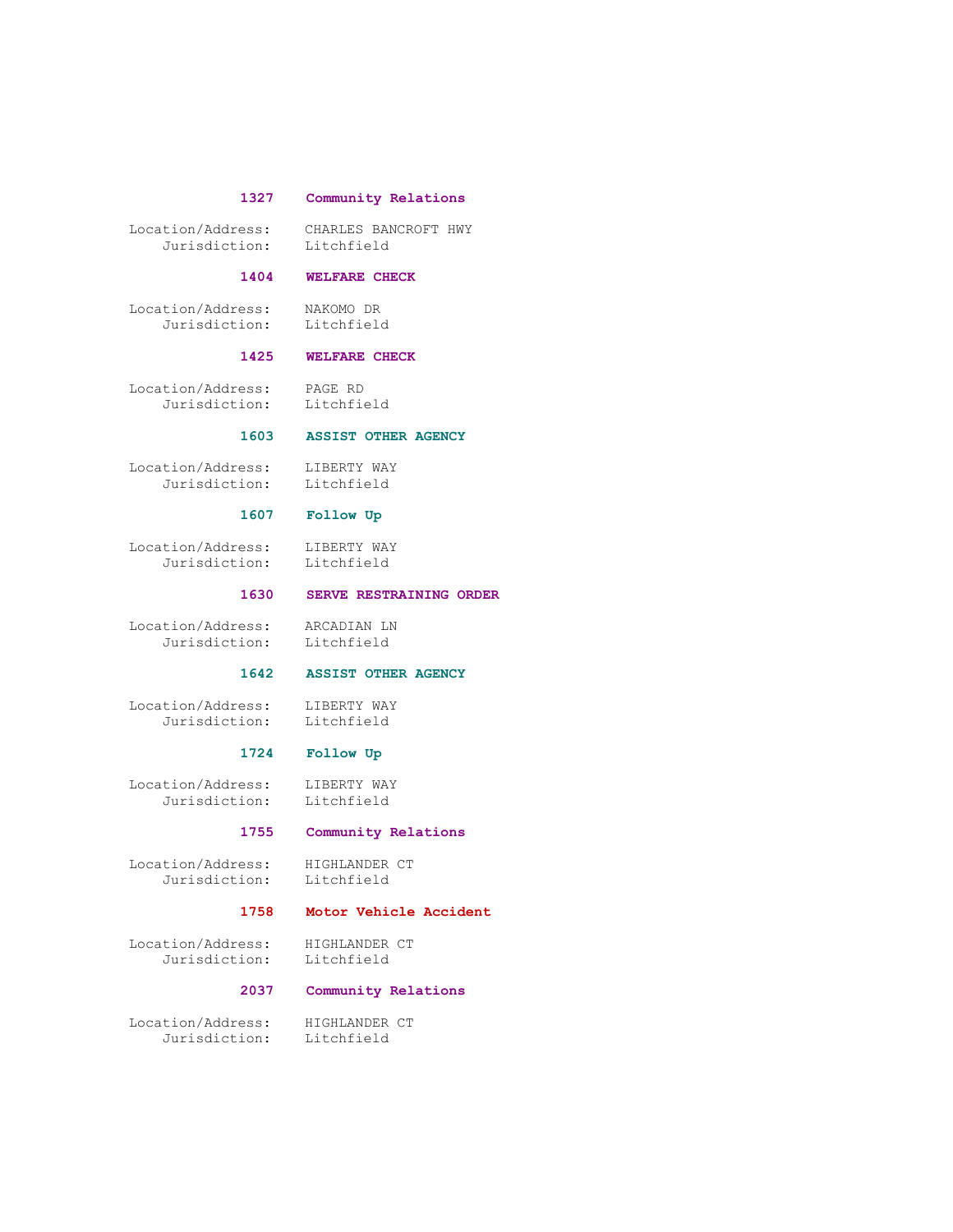# 1327 Community Relations

 Location/Address: CHARLES BANCROFT HWY Jurisdiction: Litchfield

## 1404 WELFARE CHECK

 Location/Address: NAKOMO DR Jurisdiction: Litchfield

#### 1425 WELFARE CHECK

 Location/Address: PAGE RD Jurisdiction:

# 1603 ASSIST OTHER AGENCY

 Location/Address: LIBERTY WAY Jurisdiction: Litchfield

# 1607 Follow Up

 Location/Address: LIBERTY WAY Jurisdiction: Litchfield

# 1630 SERVE RESTRAINING ORDER

 Location/Address: ARCADIAN LN Jurisdiction: Litchfield

# 1642 ASSIST OTHER AGENCY

 Location/Address: LIBERTY WAY Jurisdiction: Litchfield

# 1724 Follow Up

 Location/Address: LIBERTY WAY Jurisdiction: Litchfield

#### 1755 Community Relations

Location/Address: HIGHLANDER CT<br>Jurisdiction: Litchfield Jurisdiction:

#### 1758 Motor Vehicle Accident

 Location/Address: HIGHLANDER CT Jurisdiction:

# 2037 Community Relations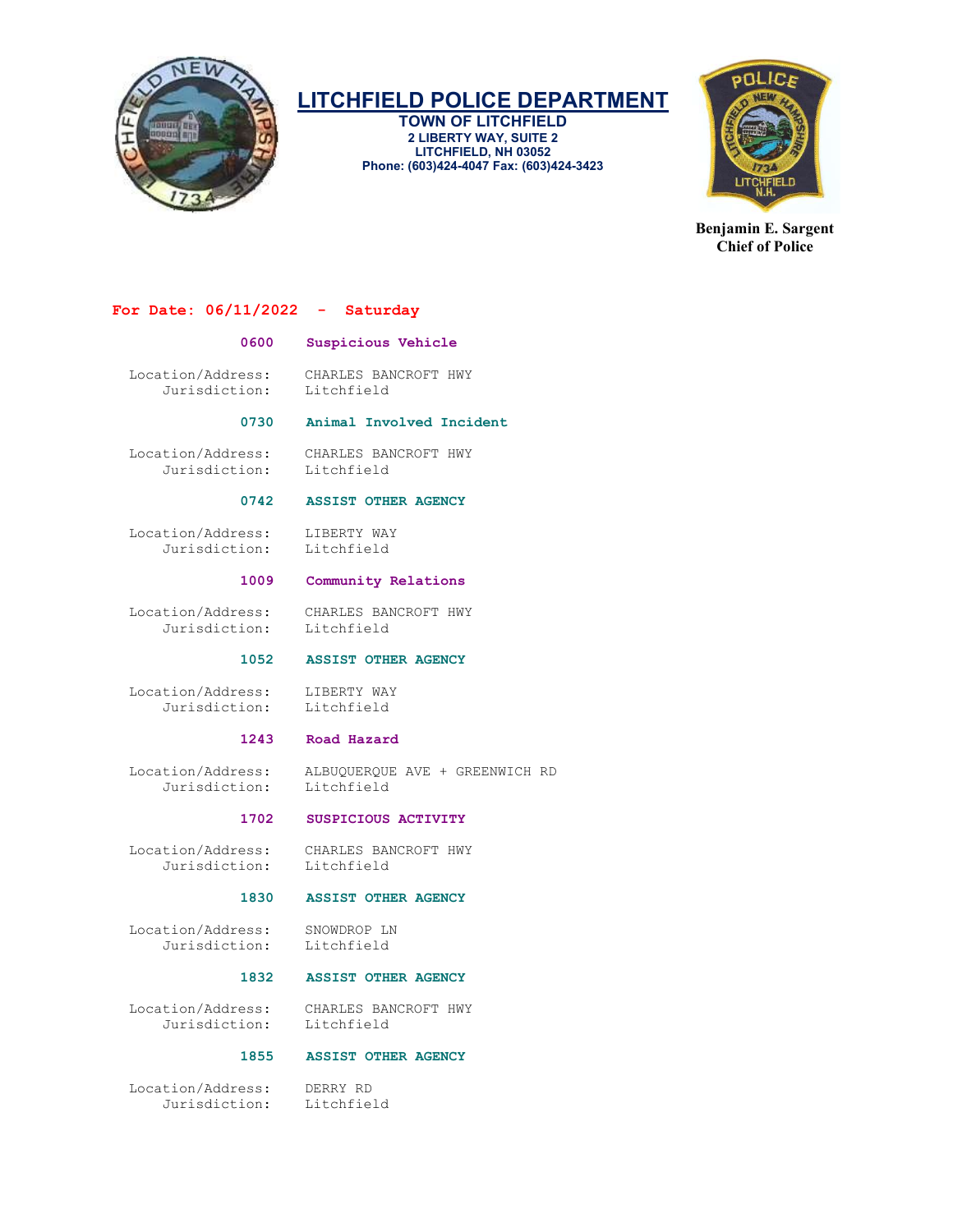

TOWN OF LITCHFIELD 2 LIBERTY WAY, SUITE 2 LITCHFIELD, NH 03052 Phone: (603)424-4047 Fax: (603)424-3423



Benjamin E. Sargent Chief of Police

### For Date: 06/11/2022 - Saturday

### 0600 Suspicious Vehicle

 Location/Address: CHARLES BANCROFT HWY Jurisdiction: Litchfield

#### 0730 Animal Involved Incident

 Location/Address: CHARLES BANCROFT HWY Jurisdiction:

### 0742 ASSIST OTHER AGENCY

 Location/Address: LIBERTY WAY Jurisdiction: Litchfield

#### 1009 Community Relations

 Location/Address: CHARLES BANCROFT HWY Jurisdiction: Litchfield

1052 ASSIST OTHER AGENCY

Location/Address: LIBERTY WAY<br>Jurisdiction: Litchfield Jurisdiction:

#### 1243 Road Hazard

 Location/Address: ALBUQUERQUE AVE + GREENWICH RD Jurisdiction:

#### 1702 SUSPICIOUS ACTIVITY

 Location/Address: CHARLES BANCROFT HWY Jurisdiction: Litchfield

# 1830 ASSIST OTHER AGENCY

 Location/Address: SNOWDROP LN Jurisdiction:

#### 1832 ASSIST OTHER AGENCY

 Location/Address: CHARLES BANCROFT HWY Jurisdiction:

### 1855 ASSIST OTHER AGENCY

 Location/Address: DERRY RD Jurisdiction: Litchfield